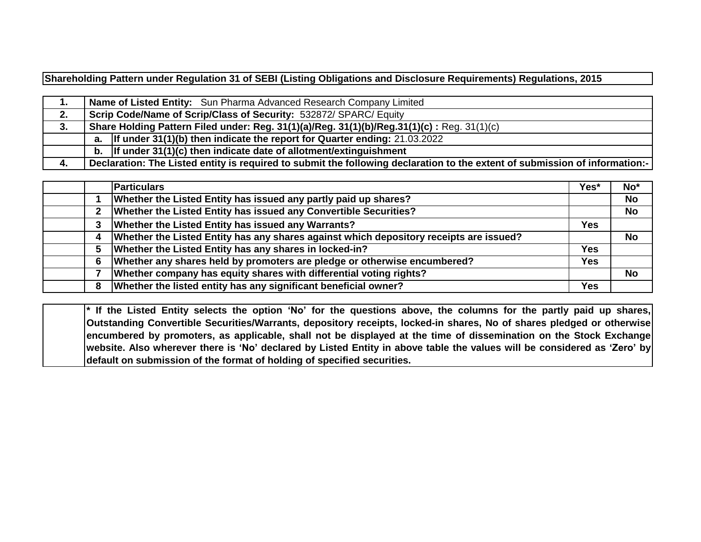**Shareholding Pattern under Regulation 31 of SEBI (Listing Obligations and Disclosure Requirements) Regulations, 2015**

| . . | Name of Listed Entity: Sun Pharma Advanced Research Company Limited                                                         |
|-----|-----------------------------------------------------------------------------------------------------------------------------|
| 2.  | Scrip Code/Name of Scrip/Class of Security: 532872/ SPARC/Equity                                                            |
| 3.  | Share Holding Pattern Filed under: Reg. 31(1)(a)/Reg. 31(1)(b)/Reg.31(1)(c): Reg. 31(1)(c)                                  |
|     | a. If under $31(1)(b)$ then indicate the report for Quarter ending: 21.03.2022                                              |
|     | b. If under $31(1)(c)$ then indicate date of allotment/extinguishment                                                       |
| -4. | Declaration: The Listed entity is required to submit the following declaration to the extent of submission of information:- |

|   | <b>Particulars</b>                                                                     | Yes*       | No*       |
|---|----------------------------------------------------------------------------------------|------------|-----------|
|   | Whether the Listed Entity has issued any partly paid up shares?                        |            | <b>No</b> |
|   | Whether the Listed Entity has issued any Convertible Securities?                       |            | <b>No</b> |
|   | Whether the Listed Entity has issued any Warrants?                                     | <b>Yes</b> |           |
| 4 | Whether the Listed Entity has any shares against which depository receipts are issued? |            | <b>No</b> |
|   | Whether the Listed Entity has any shares in locked-in?                                 | <b>Yes</b> |           |
| 6 | Whether any shares held by promoters are pledge or otherwise encumbered?               | Yes        |           |
|   | Whether company has equity shares with differential voting rights?                     |            | <b>No</b> |
| 8 | Whether the listed entity has any significant beneficial owner?                        | <b>Yes</b> |           |

\* If the Listed Entity selects the option 'No' for the questions above, the columns for the partly paid up shares, **Outstanding Convertible Securities/Warrants, depository receipts, locked-in shares, No of shares pledged or otherwise** encumbered by promoters, as applicable, shall not be displayed at the time of dissemination on the Stock Exchange website. Also wherever there is 'No' declared by Listed Entity in above table the values will be considered as 'Zero' by **default on submission of the format of holding of specified securities.**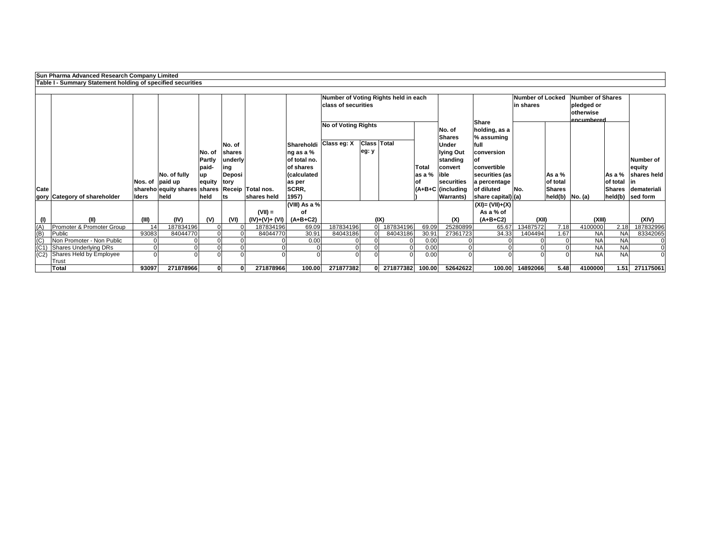**Sun Pharma Advanced Research Company Limited**

|                                     | Table I - Summary Statement holding of specified securities |              |                                                     |                         |                             |                          |                               |                                                                    |                             |                    |              |                                              |                                                |                                      |                           |                                                                   |                           |                             |
|-------------------------------------|-------------------------------------------------------------|--------------|-----------------------------------------------------|-------------------------|-----------------------------|--------------------------|-------------------------------|--------------------------------------------------------------------|-----------------------------|--------------------|--------------|----------------------------------------------|------------------------------------------------|--------------------------------------|---------------------------|-------------------------------------------------------------------|---------------------------|-----------------------------|
|                                     |                                                             |              |                                                     |                         |                             |                          |                               | Number of Voting Rights held in each<br><b>class of securities</b> |                             |                    |              |                                              |                                                | <b>Number of Locked</b><br>in shares |                           | Number of Shares<br>pledged or<br><b>lotherwise</b><br>encumbered |                           |                             |
|                                     |                                                             |              |                                                     |                         |                             |                          |                               | <b>No of Voting Rights</b>                                         |                             |                    |              | No. of<br><b>Shares</b>                      | <b>Share</b><br>holding, as a<br>$\%$ assuming |                                      |                           |                                                                   |                           |                             |
|                                     |                                                             |              |                                                     | No. of<br><b>Partly</b> | No. of<br>shares<br>underly |                          | $\log$ as a %<br>of total no. | Shareholdi Class eg: X                                             | <b>Class Total</b><br>eg: y |                    |              | <b>Under</b><br><b>Iying Out</b><br>standing | lfull<br>conversion<br>lof                     |                                      |                           |                                                                   |                           | Number of                   |
|                                     |                                                             |              |                                                     | paid-                   | ing                         |                          | of shares                     |                                                                    |                             |                    | <b>Total</b> | convert                                      | convertible                                    |                                      |                           |                                                                   |                           | equity                      |
|                                     |                                                             |              | No. of fully                                        | up                      | <b>Deposi</b>               |                          | calculated)                   |                                                                    |                             |                    | as a $%$     | lible                                        | securities (as                                 |                                      | As a %                    |                                                                   | As a %                    | shares held                 |
| <b>Cate</b>                         |                                                             |              | Nos. of $ $ paid up<br>shareho equity shares shares | equity                  | tory                        | <b>Receip Total nos.</b> | as per<br>SCRR,               |                                                                    |                             |                    | lot          | securities<br>$ $ (A+B+C   (including        | a percentage<br>of diluted                     | No.                                  | of total<br><b>Shares</b> |                                                                   | of total<br><b>Shares</b> | $\mathsf{I}$<br>demateriali |
|                                     | gory Category of shareholder                                | <b>Iders</b> | held                                                | held                    | ts                          | shares held              | 1957)                         |                                                                    |                             |                    |              | <b>Warrants</b> )                            | $ \text{share capital} (a)$                    |                                      |                           | $held(b)$ $ No. (a)$                                              | held(b)                   | sed form                    |
|                                     |                                                             |              |                                                     |                         |                             |                          | (VIII) As a %                 |                                                                    |                             |                    |              |                                              | $(XI) = (VII)+(X)$                             |                                      |                           |                                                                   |                           |                             |
|                                     |                                                             |              |                                                     |                         |                             | $(VII) =$                | of                            |                                                                    |                             |                    |              |                                              | As a % of                                      |                                      |                           |                                                                   |                           |                             |
|                                     | (II)                                                        | (III)        | (IV)                                                | (V)                     | (VI)                        | $(IV)+(V)+(V)$           | (A+B+C2)                      |                                                                    |                             | (IX)               |              | (X)                                          | $(A+B+C2)$                                     | (XII)                                |                           | (XIII)                                                            |                           | (XIV)                       |
| $\overline{(A)}$                    | Promoter & Promoter Group                                   | 14           | 187834196                                           |                         |                             | 187834196                | 69.09                         | 187834196                                                          | $\overline{0}$              | 187834196          | 69.09        | 25280899                                     | 65.67                                          | 13487572                             | 7.18                      | 4100000                                                           | 2.18                      | 187832996                   |
| (B)                                 | Public                                                      | 93083        | 84044770                                            |                         |                             | 84044770                 | 30.91                         | 84043186                                                           |                             | 84043186           | 30.91        | 27361723                                     | 34.33                                          | 1404494                              | 1.67                      | <b>NA</b>                                                         | <b>NA</b>                 | 83342065                    |
| $\frac{\overline{C}}{\overline{C}}$ | Non Promoter - Non Public                                   |              |                                                     |                         |                             |                          | 0.00                          |                                                                    |                             |                    | 0.00         |                                              |                                                |                                      |                           | <b>NA</b>                                                         | <b>NA</b>                 | 0                           |
|                                     | <b>Shares Underlying DRs</b>                                |              |                                                     |                         |                             |                          |                               |                                                                    |                             |                    | 0.00         |                                              |                                                |                                      |                           | <b>NA</b>                                                         | <b>NA</b>                 | $\overline{0}$              |
| (C2)                                | Shares Held by Employee                                     |              |                                                     |                         |                             |                          |                               |                                                                    |                             |                    | 0.00         |                                              |                                                |                                      |                           | <b>NA</b>                                                         | <b>NA</b>                 | 0                           |
|                                     | Trust                                                       |              |                                                     |                         |                             |                          |                               |                                                                    |                             |                    |              |                                              |                                                |                                      |                           |                                                                   |                           |                             |
|                                     | <b>Total</b>                                                | 93097        | 271878966                                           |                         | 0                           | 271878966                | 100.00                        | 271877382                                                          |                             | 0 271877382 100.00 |              | 52642622                                     |                                                | 100.00 14892066                      | 5.48                      | 4100000                                                           |                           | 1.51 271175061              |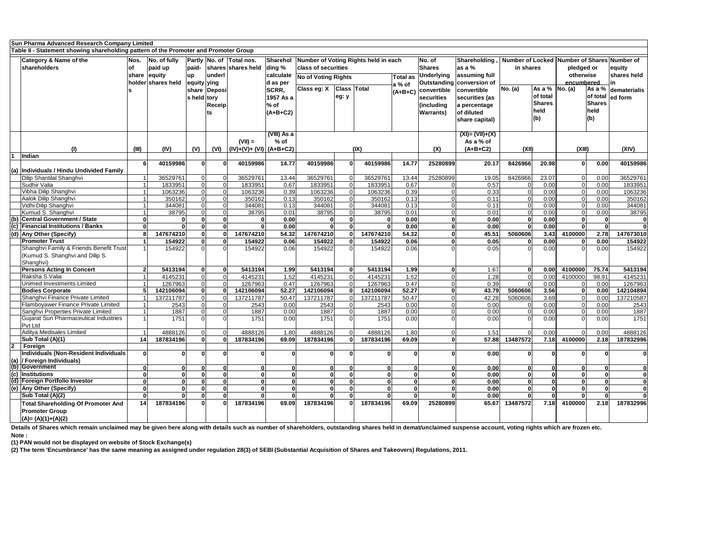|                | Sun Pharma Advanced Research Company Limited                                         |           |                      |             |              |                                          |              |                            |       |                                      |                 |                   |                                  |                                             |                                           |            |               |                       |
|----------------|--------------------------------------------------------------------------------------|-----------|----------------------|-------------|--------------|------------------------------------------|--------------|----------------------------|-------|--------------------------------------|-----------------|-------------------|----------------------------------|---------------------------------------------|-------------------------------------------|------------|---------------|-----------------------|
|                | Table II - Statement showing shareholding pattern of the Promoter and Promoter Group |           |                      |             |              |                                          |              |                            |       |                                      |                 |                   |                                  |                                             |                                           |            |               |                       |
|                | <b>Category &amp; Name of the</b>                                                    | Nos.      | $\vert$ No. of fully |             |              | Partly No. of Total nos.                 | Sharehol     |                            |       | Number of Voting Rights held in each |                 | No. of            | Shareholding,                    | Number of Locked Number of Shares Number of |                                           |            |               |                       |
|                | shareholders                                                                         | <b>of</b> | paid up              | paid-       |              | shares shares held                       | ding %       | class of securities        |       |                                      |                 | <b>Shares</b>     | as a $%$                         | in shares                                   |                                           | pledged or |               | equity                |
|                |                                                                                      |           | share equity         | <b>up</b>   | lunderl      |                                          | calculate    |                            |       |                                      | <b>Total as</b> | Underlying        | assuming full                    |                                             |                                           | otherwise  |               | shares held           |
|                |                                                                                      |           | holder shares held   | equity ying |              |                                          | d as per     | <b>No of Voting Rights</b> |       |                                      |                 |                   | <b>Outstanding conversion of</b> |                                             |                                           | encumbered |               |                       |
|                |                                                                                      |           |                      |             | share Deposi |                                          | <b>SCRR,</b> | Class eg: X Class Total    |       |                                      | a % of          | convertible       | convertible                      | <b>No.</b> (a)                              | $\overline{As}$ a % $\overline{No}$ . (a) |            |               | As a % dematerialis ' |
|                |                                                                                      |           |                      | s held tory |              |                                          | 1957 As a    |                            | eg: y |                                      | $(A+B+C)$       | <b>securities</b> | securities (as                   |                                             | of total                                  |            | of total      | ed form               |
|                |                                                                                      |           |                      |             | Receip       |                                          | $%$ of       |                            |       |                                      |                 | (including        | a percentage                     |                                             | <b>Shares</b>                             |            | <b>Shares</b> |                       |
|                |                                                                                      |           |                      |             |              |                                          | $(A+B+C2)$   |                            |       |                                      |                 | <b>Warrants</b> ) | of diluted                       |                                             | held                                      |            | held          |                       |
|                |                                                                                      |           |                      |             | lts          |                                          |              |                            |       |                                      |                 |                   | share capital)                   |                                             | (b)                                       |            | (b)           |                       |
|                |                                                                                      |           |                      |             |              |                                          |              |                            |       |                                      |                 |                   |                                  |                                             |                                           |            |               |                       |
|                |                                                                                      |           |                      |             |              |                                          | (VIII) As a  |                            |       |                                      |                 |                   | $(XI) = (VII) + (X)$             |                                             |                                           |            |               |                       |
|                |                                                                                      |           |                      |             |              | $(VII) =$                                | $%$ of       |                            |       |                                      |                 |                   | As a % of                        |                                             |                                           |            |               |                       |
|                | (1)                                                                                  | (III)     | (IV)                 | (V)         | (VI)         | $\left  (IV)+(V)+ (VI) \right  (A+B+C2)$ |              |                            |       | (IX)                                 |                 |                   | $(A+B+C2)$                       | (XII)                                       |                                           | (XIII)     |               | (XIV)                 |
|                | Indian                                                                               |           |                      |             |              |                                          |              |                            |       |                                      |                 | (X)               |                                  |                                             |                                           |            |               |                       |
|                |                                                                                      |           | 40159986             | $\Omega$    |              | 40159986                                 | 14.77        | 40159986                   |       | 40159986                             | 14.77           | 25280899          | 20.17                            | 8426966                                     | 20.98                                     | ΩI         | 0.00          | 40159986              |
| (a)            | Individuals / Hindu Undivided Family                                                 |           |                      |             |              |                                          |              |                            |       |                                      |                 |                   |                                  |                                             |                                           |            |               |                       |
|                | Dilip Shantilal Shanghvi                                                             |           | 36529761             |             |              | 36529761                                 | 13.44        | 36529761                   |       | 36529761                             | 13.44           | 25280899          | 19.05                            | 8426966                                     | 23.07                                     |            | 0.00          | 36529761              |
|                | Sudhir Valia                                                                         |           | 1833951              |             |              | 1833951                                  | 0.67         | 1833951                    |       | 1833951                              | 0.67            |                   | 0.57                             |                                             | 0.00                                      | $\Omega$   | 0.00          | 1833951               |
|                | Vibha Dilip Shanghvi                                                                 |           | 1063236              |             |              | 1063236                                  | 0.39         | 1063236                    |       | 1063236                              | 0.39            |                   | 0.33                             |                                             | 0.00                                      |            | 0.00          | 1063236               |
|                | Aalok Dilip Shanghvi                                                                 |           | 350162               |             |              | 350162                                   | 0.13         | 350162                     |       | 350162                               | 0.13            |                   | 0.11                             |                                             | 0.00                                      |            | 0.00          | 350162                |
|                | Vidhi Dilip Shanghvi                                                                 |           | 344081               |             | $\Omega$     | 344081                                   | 0.13         | 344081                     |       | 344081                               | 0.13            |                   | 0.11                             |                                             | 0.00                                      |            | 0.00          | 344081                |
|                | Kumud S. Shanghvi                                                                    |           | 38795                |             |              | 38795                                    | 0.01         | 38795                      |       | 38795                                | 0.01            |                   | 0.01                             |                                             | 0.00                                      |            | 0.00          | 38795                 |
|                | (b) Central Government / State                                                       |           |                      |             |              |                                          | 0.00         |                            |       |                                      | 0.00            |                   | 0.00                             |                                             | 0.00                                      |            |               |                       |
|                | (c) Financial Institutions / Banks                                                   |           | ΩI                   |             | $\mathbf{0}$ |                                          | 0.00         |                            |       | 0                                    | 0.00            |                   | 0.00                             |                                             | 0.00                                      |            |               | 0                     |
|                | (d) Any Other (Specify)                                                              |           | 147674210            |             |              | 147674210                                | 54.32        | 147674210                  |       | 147674210                            | 54.32           |                   | 45.51                            | 5060606                                     | 3.43                                      | 4100000    | 2.78          | 147673010             |
|                | <b>Promoter Trust</b>                                                                |           | 154922               |             |              | 154922                                   | 0.06         | 154922                     |       | 154922                               | 0.06            |                   | 0.05                             |                                             | 0.00                                      |            | 0.00          | 154922                |
|                | Shanghvi Family & Friends Benefit Trust                                              |           | 154922               |             |              | 154922                                   | 0.06         | 154922                     |       | 154922                               | 0.06            |                   | 0.05                             |                                             | 0.00                                      |            | 0.00          | 154922                |
|                | (Kumud S. Shanghvi and Dilip S.                                                      |           |                      |             |              |                                          |              |                            |       |                                      |                 |                   |                                  |                                             |                                           |            |               |                       |
|                | Shanghvi)                                                                            |           |                      |             |              |                                          |              |                            |       |                                      |                 |                   |                                  |                                             |                                           |            |               |                       |
|                | <b>Persons Acting In Concert</b>                                                     | າ         | 5413194              | 0           | 0            | 5413194                                  | 1.99         | 5413194                    |       | 5413194                              | 1.99            |                   | 1.67                             |                                             | 0.00                                      | 4100000    | 75.74         | 5413194               |
|                | Raksha S.Valia                                                                       |           | 4145231              |             |              | 4145231                                  | 1.52         | 4145231                    |       | 4145231                              | 1.52            |                   | 1.28                             |                                             | 0.00                                      | 4100000    | 98.91         | 4145231               |
|                | Unimed Investments Limited                                                           |           | 1267963              |             |              | 1267963                                  | 0.47         | 1267963                    |       | 1267963                              | 0.47            |                   | 0.39                             |                                             | 0.00                                      |            | 0.00          | 1267963               |
|                | <b>Bodies Corporate</b>                                                              |           | 142106094            |             |              | 142106094                                | 52.27        | 142106094                  |       | 142106094                            | 52.27           |                   | 43.79                            | 5060606                                     | 3.56                                      |            | 0.00          | 142104894             |
|                | Shanghvi Finance Private Limited                                                     |           | 137211787            |             |              | 137211787                                | 50.47        | 137211787                  |       | 137211787                            | 50.47           |                   | 42.28                            | 5060606                                     | 3.69                                      |            | 0.00          | 137210587             |
|                | Flamboyawer Finance Private Limited                                                  |           | 2543                 |             |              | 2543                                     | 0.00         | 2543                       |       | 2543                                 | 0.00            |                   | 0.00                             |                                             | 0.00                                      |            | 0.00          | 2543                  |
|                | Sanghvi Properties Private Limited                                                   |           | 1887                 |             |              | 1887                                     | 0.00         | 1887                       |       | 1887                                 | 0.00            |                   | 0.00                             |                                             | 0.00                                      |            | 0.00          | 1887                  |
|                | <b>Gujarat Sun Pharmaceutical Industries</b>                                         |           | 1751                 |             |              | 1751                                     | 0.00         | 1751                       |       | 1751                                 | 0.00            |                   | 0.00                             |                                             | 0.00                                      |            | 0.00          | 1751                  |
|                | Pvt Ltd                                                                              |           |                      |             |              |                                          |              |                            |       |                                      |                 |                   |                                  |                                             |                                           |            |               |                       |
|                | Aditya Medisales Limited                                                             |           | 4888126              |             |              | 4888126                                  | 1.80         | 4888126                    |       | 4888126                              | 1.80            |                   | 1.51                             |                                             | 0.00                                      |            | 0.00          | 4888126               |
|                | Sub Total (A)(1)                                                                     | 14        | 187834196            |             |              | 187834196                                | 69.09        | 187834196                  |       | 187834196                            | 69.09           |                   | 57.88                            | 13487572                                    | 7.18                                      | 4100000    | 2.18          | 187832996             |
| 2 <sup>1</sup> | Foreign                                                                              |           |                      |             |              |                                          |              |                            |       |                                      |                 |                   |                                  |                                             |                                           |            |               |                       |
|                | Individuals (Non-Resident Individuals)                                               |           |                      |             |              |                                          |              |                            |       |                                      |                 |                   | 0.00                             |                                             |                                           |            |               |                       |
| (a)            | / Foreign Individuals)<br>(b) Government                                             |           |                      |             |              |                                          |              |                            |       |                                      |                 |                   |                                  |                                             |                                           |            |               |                       |
|                | <i><b>Institutions</b></i>                                                           |           |                      |             |              |                                          |              |                            |       |                                      |                 |                   | 0.00<br>0.00                     |                                             |                                           |            |               | 0                     |
| (c)            | (d) Foreign Portfolio Investor                                                       |           |                      |             |              |                                          |              |                            |       |                                      |                 |                   | 0.00                             |                                             |                                           |            |               |                       |
|                | (e) Any Other (Specify)                                                              |           |                      |             |              |                                          |              |                            |       |                                      |                 |                   | 0.00                             |                                             |                                           |            |               |                       |
|                | Sub Total (A)(2)                                                                     |           |                      |             |              |                                          |              |                            |       |                                      |                 |                   | 0.00                             |                                             |                                           |            |               | 0                     |
|                |                                                                                      | 14        | 187834196            |             |              | 187834196                                | 69.09        | 187834196                  |       | 187834196                            | 69.09           | 25280899          | 65.67                            | 13487572                                    | 7.18                                      | 4100000    | 2.18          | 187832996             |
|                | <b>Total Shareholding Of Promoter And</b>                                            |           |                      |             |              |                                          |              |                            |       |                                      |                 |                   |                                  |                                             |                                           |            |               |                       |
|                | <b>Promoter Group</b>                                                                |           |                      |             |              |                                          |              |                            |       |                                      |                 |                   |                                  |                                             |                                           |            |               |                       |
|                | $ (A)=(A)(1)+(A)(2)$                                                                 |           |                      |             |              |                                          |              |                            |       |                                      |                 |                   |                                  |                                             |                                           |            |               |                       |

**(1) PAN would not be displayed on website of Stock Exchange(s)** 

**(2) The term 'Encumbrance' has the same meaning as assigned under regulation 28(3) of SEBI (Substantial Acquisition of Shares and Takeovers) Regulations, 2011.**

**Note : Details of Shares which remain unclaimed may be given here along with details such as number of shareholders, outstanding shares held in demat/unclaimed suspense account, voting rights which are frozen etc.**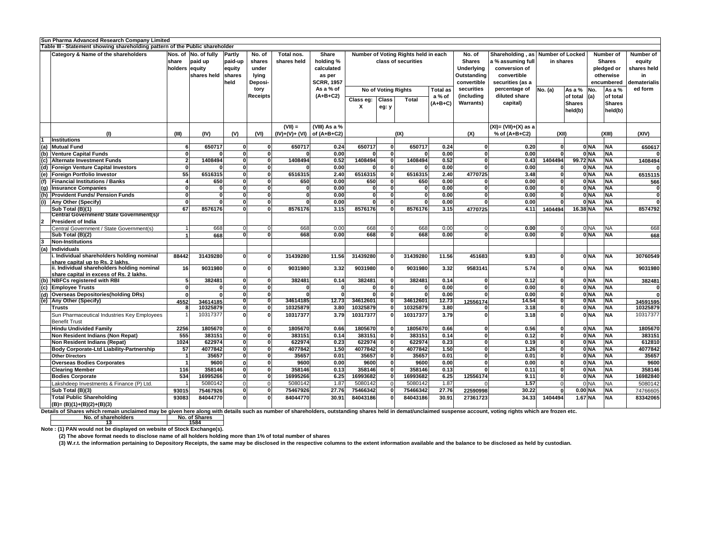| Table III - Statement showing shareholding pattern of the Public shareholder<br>$ $ Shareholding , as $ $ Number of Locked $ $<br>Nos. of No. of fully<br>Number of Voting Rights held in each<br><b>Category &amp; Name of the shareholders</b><br>No. of<br>Total nos.<br><b>Share</b><br>No. of<br><b>Number of</b><br>Number of<br><b>Partly</b><br>holding %<br><b>Shares</b><br>paid-up<br>paid up<br>shares held<br>class of securities<br>a % assuming full<br>in shares<br><b>Shares</b><br>Ishare<br>shares<br>equity<br>shares held<br>holders  equity <br><b>Underlying</b><br>conversion of<br>lequity<br>under<br>calculated<br>pledged or<br>shares held<br>convertible<br>otherwise<br>Outstanding<br>shares<br>lying<br>as per<br>in.<br><b>SCRR, 1957</b><br>convertible<br>securities (as a<br>dematerialis<br>held<br><b>Deposi-</b><br>encumbered<br>As a % of<br>securities<br>ed form<br>percentage of<br>$ As a \%   No.$<br>As a %<br><b>No of Voting Rights</b><br><b>Total as</b><br>No. (a)<br>tory<br>$(A+B+C2)$<br>diluted share<br>(including<br>of total<br><b>Receipts</b><br>a % of<br>$ $ of total $ $ (a)<br><b>Class</b><br>Class eg:<br><b>Total</b><br><b>Warrants)</b><br>capital)<br><b>Shares</b><br>$(A+B+C)$<br><b>Shares</b><br>X<br>eg: y<br>held(b)<br>held(b)<br>$(VII) =$<br>(VIII) As a %<br>$(IV)+(V)+(VI)$ of $(A+B+C2)$<br>% of (A+B+C2)<br>(1)<br>(IV)<br>(V)<br>(IX)<br>(XII)<br>(XIII)<br>(XIV)<br>(III)<br>(VI)<br>(X)<br><b>Institutions</b><br>650717<br>0.24<br>$0$ NA<br><b>NA</b><br>(a) Mutual Fund<br>650717<br>650717<br>650717<br>0.24<br>0.20<br>650617<br>$0$ <sub>NA</sub><br><b>NA</b><br>0.00<br>0.00<br><b>Venture Capital Funds</b><br>0.00<br>(b)<br>0.52<br>99.72 NA<br>1408494<br>0.52<br>1408494<br>1408494<br>1404494<br><b>NA</b><br><b>Alternate Investment Funds</b><br>1408494<br>0.43<br>1408494<br>(c)<br>0.00<br>$\overline{0.00}$<br>$0$ <sub>NA</sub><br><b>NA</b><br>0.00<br>(d) Foreign Venture Capital Investors<br>ΩI<br>55<br>6516315<br><b>NA</b><br>6516315<br>6516315<br>6516315<br>4770725<br>0 NA<br>2.40<br>2.40<br><b>Foreign Portfolio Investor</b><br>3.48<br>(e)<br>6515115<br>0 <sub>NA</sub><br>650<br>0.00<br>650<br><b>NA</b><br><b>Financial Institutions / Banks</b><br>650<br>650<br>0.00<br>0.00<br>566<br>(f)<br>0 <sub>NA</sub><br>0.00<br><b>NA</b><br>0.00<br>0.00<br><b>Insurance Companies</b><br>(g)<br>$0$ <sub>NA</sub><br><b>NA</b><br><b>Provident Funds/ Pension Funds</b><br>0.00<br>0l<br>0.00<br>0.00<br>$\Omega$<br>(h)<br>$0$ <sub>NA</sub><br><b>NA</b><br>0.00<br>0.00<br>0.00<br>(i)<br>$\Omega$<br><b>Any Other (Specify)</b><br><sup>0</sup><br>67<br>16.38 NA<br>8576176<br>8576176<br>3.15<br>8576176<br>8576176<br>3.15<br><b>NA</b><br>8574792<br>Sub Total $(B)(1)$<br>4.11<br>1404494<br>4770725<br><b>Central Government/ State Government(s)/</b><br><b>President of India</b><br>$\overline{2}$<br>668<br>668<br>668<br>668<br>$0$ NA<br>668<br>0.00<br>0.00<br><b>INA</b><br>Central Government / State Government(s)<br>0.00<br>668<br>668<br>0.00<br>668<br>0.00<br>0.00<br>$0$ NA<br>NA<br>Sub Total (B)(2)<br>668<br>n<br>668<br><b>Non-Institutions</b><br>Individuals<br>(a)<br>. Individual shareholders holding nominal<br>0 NA<br><b>NA</b><br>11.56<br>11.56<br>451683<br>31439280<br>31439280<br>31439280<br>88442<br>31439280<br>9.83<br>30760549<br>share capital up to Rs. 2 lakhs.<br>ii. Individual shareholders holding nominal<br><b>NA</b><br>5.74<br>0 NA<br>9031980<br>16<br>9031980<br>9031980<br>3.32<br>9031980<br>9031980<br>9583141<br>3.32<br>share capital in excess of Rs. 2 lakhs.<br>(b) NBFCs registered with RBI<br>382481<br>382481<br>0.14<br>382481<br>382481<br>0.14<br>0.12<br>0 NA<br><b>NA</b><br>382481<br>n<br>$0$ NA<br>0.00<br><b>NA</b><br>0.00<br>(c) Employee Trusts<br>(d) Overseas Depositories (holding DRs)<br>0.00<br>0 NA<br>0.00<br><b>NA</b><br><b>ONA</b><br>34614185<br>34612601<br>34612601<br>12.73<br><b>TNA</b><br>(e)  Any Other (Specify)<br>12.73<br>14.54<br>4552<br>12556174<br>34614185<br>34591595<br>$0$ NA<br><b>NA</b><br>10325879<br>10325879<br>3.80<br>10325879<br>10325879<br>3.80<br>3.18<br>10325879<br>Trusts<br>3.79<br>0 NA<br><b>NA</b><br>10317377<br>10317377<br>3.79<br>10317377<br>10317377<br>3.18<br>10317377<br>Sun Pharmaceutical Industries Key Employees<br><b>Benefit Trust</b><br>1805670<br><b>NA</b><br>2256<br>1805670<br>1805670<br>0.66<br>1805670<br>0.66<br>0 NA<br>1805670<br><b>Hindu Undivided Family</b><br>0.56<br>-OI<br>- Ol<br>555<br>0.14<br>383151<br>0.14<br>0 NA<br><b>Non Resident Indians (Non Repat)</b><br>383151<br>383151<br>383151<br>0.12<br><b>NA</b><br>383151<br>0.23<br>$0$ NA<br><b>Non Resident Indians (Repat)</b><br>1024<br>622974<br>622974<br>0.23<br>622974<br>622974<br>0.19<br><b>NA</b><br>612810<br>1.50<br>4077842<br>1.50<br>0 NA<br>57<br>4077842<br>4077842<br>4077842<br>1.26<br><b>NA</b><br>4077842<br><b>Body Corporate-Ltd Liability-Partnership</b><br>35657<br>35657<br>35657<br>35657<br>35657<br>0.01<br>$0$ NA<br>0.01<br>0.01<br><b>NA</b><br><b>Other Directors</b><br>$0$ NA<br>9600<br>0.00<br>9600<br><b>NA</b><br>9600<br><b>Overseas Bodies Corporates</b><br>9600<br>9600<br>0.00<br>0.00<br>358146<br>$0$ NA<br><b>NA</b><br>116<br>358146<br>358146<br>0.13<br>358146<br>0.13<br>0.11<br>358146<br><b>Clearing Member</b><br>$0$ NA<br>534<br>6.25<br>16993682<br>16993682<br>6.25<br>12556174<br><b>NA</b><br><b>Bodies Corporate</b><br>16995266<br>16995266<br>9.11<br>16982840<br>5080142<br>5080142<br>1.87<br>5080142<br>5080142<br>1.87<br>0 <sub>NA</sub><br>1.57<br><b>NA</b><br>Lakshdeep Investments & Finance (P) Ltd.<br>5080142<br>$0.00$ <sub>NA</sub><br><b>NA</b><br>75467926<br>27.76<br>75466342<br>75466342<br>30.22<br>Sub Total (B)(3)<br>27.76<br>22590998<br>74766605<br>93015<br>75467926<br><b>Total Public Shareholding</b><br>$1.67$ NA<br>93083<br>84044770<br>84044770<br>84043186<br>84043186<br>1404494<br><b>INA</b><br>83342065<br>$\Omega$<br>30.91<br>30.91<br>27361723<br>34.33<br>$(B)=(B)(1)+(B)(2)+(B)(3)$<br>Details of Shares which remain unclaimed may be given here along with details such as number of shareholders, outstanding shares held in demat/unclaimed suspense account, voting rights which are frozen etc. | Sun Pharma Advanced Research Company Limited |  |  |  |  |  |  |  |  |
|------------------------------------------------------------------------------------------------------------------------------------------------------------------------------------------------------------------------------------------------------------------------------------------------------------------------------------------------------------------------------------------------------------------------------------------------------------------------------------------------------------------------------------------------------------------------------------------------------------------------------------------------------------------------------------------------------------------------------------------------------------------------------------------------------------------------------------------------------------------------------------------------------------------------------------------------------------------------------------------------------------------------------------------------------------------------------------------------------------------------------------------------------------------------------------------------------------------------------------------------------------------------------------------------------------------------------------------------------------------------------------------------------------------------------------------------------------------------------------------------------------------------------------------------------------------------------------------------------------------------------------------------------------------------------------------------------------------------------------------------------------------------------------------------------------------------------------------------------------------------------------------------------------------------------------------------------------------------------------------------------------------------------------------------------------------------------------------------------------------------------------------------------------------------------------------------------------------------------------------------------------------------------------------------------------------------------------------------------------------------------------------------------------------------------------------------------------------------------------------------------------------------------------------------------------------------------------------------------------------------------------------------------------------------------------------------------------------------------------------------------------------------------------------------------------------------------------------------------------------------------------------------------------------------------------------------------------------------------------------------------------------------------------------------------------------------------------------------------------------------------------------------------------------------------------------------------------------------------------------------------------------------------------------------------------------------------------------------------------------------------------------------------------------------------------------------------------------------------------------------------------------------------------------------------------------------------------------------------------------------------------------------------------------------------------------------------------------------------------------------------------------------------------------------------------------------------------------------------------------------------------------------------------------------------------------------------------------------------------------------------------------------------------------------------------------------------------------------------------------------------------------------------------------------------------------------------------------------------------------------------------------------------------------------------------------------------------------------------------------------------------------------------------------------------------------------------------------------------------------------------------------------------------------------------------------------------------------------------------------------------------------------------------------------------------------------------------------------------------------------------------------------------------------------------------------------------------------------------------------------------------------------------------------------------------------------------------------------------------------------------------------------------------------------------------------------------------------------------------------------------------------------------------------------------------------------------------------------------------------------------------------------------------------------------------------------------------------------------------------------------------------------------------------------------------------------------------------------------------------------------------------------------------------------------------------------------------------------------------------------------------------------------------------------------------------------------------------------------------------------------------------------------------------------------------------------------------------------------------------------------------------------------------------------------------------------------------------------------------------------------------------------------------------------------------------------------------------------------------------------------------------------------------------------------------------------------------------------------------------------------------------------------------------------------------------------------------------------------------------------------------|----------------------------------------------|--|--|--|--|--|--|--|--|
|                                                                                                                                                                                                                                                                                                                                                                                                                                                                                                                                                                                                                                                                                                                                                                                                                                                                                                                                                                                                                                                                                                                                                                                                                                                                                                                                                                                                                                                                                                                                                                                                                                                                                                                                                                                                                                                                                                                                                                                                                                                                                                                                                                                                                                                                                                                                                                                                                                                                                                                                                                                                                                                                                                                                                                                                                                                                                                                                                                                                                                                                                                                                                                                                                                                                                                                                                                                                                                                                                                                                                                                                                                                                                                                                                                                                                                                                                                                                                                                                                                                                                                                                                                                                                                                                                                                                                                                                                                                                                                                                                                                                                                                                                                                                                                                                                                                                                                                                                                                                                                                                                                                                                                                                                                                                                                                                                                                                                                                                                                                                                                                                                                                                                                                                                                                                                                                                                                                                                                                                                                                                                                                                                                                                                                                                                                                                                                                    |                                              |  |  |  |  |  |  |  |  |
|                                                                                                                                                                                                                                                                                                                                                                                                                                                                                                                                                                                                                                                                                                                                                                                                                                                                                                                                                                                                                                                                                                                                                                                                                                                                                                                                                                                                                                                                                                                                                                                                                                                                                                                                                                                                                                                                                                                                                                                                                                                                                                                                                                                                                                                                                                                                                                                                                                                                                                                                                                                                                                                                                                                                                                                                                                                                                                                                                                                                                                                                                                                                                                                                                                                                                                                                                                                                                                                                                                                                                                                                                                                                                                                                                                                                                                                                                                                                                                                                                                                                                                                                                                                                                                                                                                                                                                                                                                                                                                                                                                                                                                                                                                                                                                                                                                                                                                                                                                                                                                                                                                                                                                                                                                                                                                                                                                                                                                                                                                                                                                                                                                                                                                                                                                                                                                                                                                                                                                                                                                                                                                                                                                                                                                                                                                                                                                                    |                                              |  |  |  |  |  |  |  |  |
|                                                                                                                                                                                                                                                                                                                                                                                                                                                                                                                                                                                                                                                                                                                                                                                                                                                                                                                                                                                                                                                                                                                                                                                                                                                                                                                                                                                                                                                                                                                                                                                                                                                                                                                                                                                                                                                                                                                                                                                                                                                                                                                                                                                                                                                                                                                                                                                                                                                                                                                                                                                                                                                                                                                                                                                                                                                                                                                                                                                                                                                                                                                                                                                                                                                                                                                                                                                                                                                                                                                                                                                                                                                                                                                                                                                                                                                                                                                                                                                                                                                                                                                                                                                                                                                                                                                                                                                                                                                                                                                                                                                                                                                                                                                                                                                                                                                                                                                                                                                                                                                                                                                                                                                                                                                                                                                                                                                                                                                                                                                                                                                                                                                                                                                                                                                                                                                                                                                                                                                                                                                                                                                                                                                                                                                                                                                                                                                    |                                              |  |  |  |  |  |  |  |  |
|                                                                                                                                                                                                                                                                                                                                                                                                                                                                                                                                                                                                                                                                                                                                                                                                                                                                                                                                                                                                                                                                                                                                                                                                                                                                                                                                                                                                                                                                                                                                                                                                                                                                                                                                                                                                                                                                                                                                                                                                                                                                                                                                                                                                                                                                                                                                                                                                                                                                                                                                                                                                                                                                                                                                                                                                                                                                                                                                                                                                                                                                                                                                                                                                                                                                                                                                                                                                                                                                                                                                                                                                                                                                                                                                                                                                                                                                                                                                                                                                                                                                                                                                                                                                                                                                                                                                                                                                                                                                                                                                                                                                                                                                                                                                                                                                                                                                                                                                                                                                                                                                                                                                                                                                                                                                                                                                                                                                                                                                                                                                                                                                                                                                                                                                                                                                                                                                                                                                                                                                                                                                                                                                                                                                                                                                                                                                                                                    |                                              |  |  |  |  |  |  |  |  |
|                                                                                                                                                                                                                                                                                                                                                                                                                                                                                                                                                                                                                                                                                                                                                                                                                                                                                                                                                                                                                                                                                                                                                                                                                                                                                                                                                                                                                                                                                                                                                                                                                                                                                                                                                                                                                                                                                                                                                                                                                                                                                                                                                                                                                                                                                                                                                                                                                                                                                                                                                                                                                                                                                                                                                                                                                                                                                                                                                                                                                                                                                                                                                                                                                                                                                                                                                                                                                                                                                                                                                                                                                                                                                                                                                                                                                                                                                                                                                                                                                                                                                                                                                                                                                                                                                                                                                                                                                                                                                                                                                                                                                                                                                                                                                                                                                                                                                                                                                                                                                                                                                                                                                                                                                                                                                                                                                                                                                                                                                                                                                                                                                                                                                                                                                                                                                                                                                                                                                                                                                                                                                                                                                                                                                                                                                                                                                                                    |                                              |  |  |  |  |  |  |  |  |
|                                                                                                                                                                                                                                                                                                                                                                                                                                                                                                                                                                                                                                                                                                                                                                                                                                                                                                                                                                                                                                                                                                                                                                                                                                                                                                                                                                                                                                                                                                                                                                                                                                                                                                                                                                                                                                                                                                                                                                                                                                                                                                                                                                                                                                                                                                                                                                                                                                                                                                                                                                                                                                                                                                                                                                                                                                                                                                                                                                                                                                                                                                                                                                                                                                                                                                                                                                                                                                                                                                                                                                                                                                                                                                                                                                                                                                                                                                                                                                                                                                                                                                                                                                                                                                                                                                                                                                                                                                                                                                                                                                                                                                                                                                                                                                                                                                                                                                                                                                                                                                                                                                                                                                                                                                                                                                                                                                                                                                                                                                                                                                                                                                                                                                                                                                                                                                                                                                                                                                                                                                                                                                                                                                                                                                                                                                                                                                                    |                                              |  |  |  |  |  |  |  |  |
|                                                                                                                                                                                                                                                                                                                                                                                                                                                                                                                                                                                                                                                                                                                                                                                                                                                                                                                                                                                                                                                                                                                                                                                                                                                                                                                                                                                                                                                                                                                                                                                                                                                                                                                                                                                                                                                                                                                                                                                                                                                                                                                                                                                                                                                                                                                                                                                                                                                                                                                                                                                                                                                                                                                                                                                                                                                                                                                                                                                                                                                                                                                                                                                                                                                                                                                                                                                                                                                                                                                                                                                                                                                                                                                                                                                                                                                                                                                                                                                                                                                                                                                                                                                                                                                                                                                                                                                                                                                                                                                                                                                                                                                                                                                                                                                                                                                                                                                                                                                                                                                                                                                                                                                                                                                                                                                                                                                                                                                                                                                                                                                                                                                                                                                                                                                                                                                                                                                                                                                                                                                                                                                                                                                                                                                                                                                                                                                    |                                              |  |  |  |  |  |  |  |  |
|                                                                                                                                                                                                                                                                                                                                                                                                                                                                                                                                                                                                                                                                                                                                                                                                                                                                                                                                                                                                                                                                                                                                                                                                                                                                                                                                                                                                                                                                                                                                                                                                                                                                                                                                                                                                                                                                                                                                                                                                                                                                                                                                                                                                                                                                                                                                                                                                                                                                                                                                                                                                                                                                                                                                                                                                                                                                                                                                                                                                                                                                                                                                                                                                                                                                                                                                                                                                                                                                                                                                                                                                                                                                                                                                                                                                                                                                                                                                                                                                                                                                                                                                                                                                                                                                                                                                                                                                                                                                                                                                                                                                                                                                                                                                                                                                                                                                                                                                                                                                                                                                                                                                                                                                                                                                                                                                                                                                                                                                                                                                                                                                                                                                                                                                                                                                                                                                                                                                                                                                                                                                                                                                                                                                                                                                                                                                                                                    |                                              |  |  |  |  |  |  |  |  |
|                                                                                                                                                                                                                                                                                                                                                                                                                                                                                                                                                                                                                                                                                                                                                                                                                                                                                                                                                                                                                                                                                                                                                                                                                                                                                                                                                                                                                                                                                                                                                                                                                                                                                                                                                                                                                                                                                                                                                                                                                                                                                                                                                                                                                                                                                                                                                                                                                                                                                                                                                                                                                                                                                                                                                                                                                                                                                                                                                                                                                                                                                                                                                                                                                                                                                                                                                                                                                                                                                                                                                                                                                                                                                                                                                                                                                                                                                                                                                                                                                                                                                                                                                                                                                                                                                                                                                                                                                                                                                                                                                                                                                                                                                                                                                                                                                                                                                                                                                                                                                                                                                                                                                                                                                                                                                                                                                                                                                                                                                                                                                                                                                                                                                                                                                                                                                                                                                                                                                                                                                                                                                                                                                                                                                                                                                                                                                                                    |                                              |  |  |  |  |  |  |  |  |
|                                                                                                                                                                                                                                                                                                                                                                                                                                                                                                                                                                                                                                                                                                                                                                                                                                                                                                                                                                                                                                                                                                                                                                                                                                                                                                                                                                                                                                                                                                                                                                                                                                                                                                                                                                                                                                                                                                                                                                                                                                                                                                                                                                                                                                                                                                                                                                                                                                                                                                                                                                                                                                                                                                                                                                                                                                                                                                                                                                                                                                                                                                                                                                                                                                                                                                                                                                                                                                                                                                                                                                                                                                                                                                                                                                                                                                                                                                                                                                                                                                                                                                                                                                                                                                                                                                                                                                                                                                                                                                                                                                                                                                                                                                                                                                                                                                                                                                                                                                                                                                                                                                                                                                                                                                                                                                                                                                                                                                                                                                                                                                                                                                                                                                                                                                                                                                                                                                                                                                                                                                                                                                                                                                                                                                                                                                                                                                                    |                                              |  |  |  |  |  |  |  |  |
|                                                                                                                                                                                                                                                                                                                                                                                                                                                                                                                                                                                                                                                                                                                                                                                                                                                                                                                                                                                                                                                                                                                                                                                                                                                                                                                                                                                                                                                                                                                                                                                                                                                                                                                                                                                                                                                                                                                                                                                                                                                                                                                                                                                                                                                                                                                                                                                                                                                                                                                                                                                                                                                                                                                                                                                                                                                                                                                                                                                                                                                                                                                                                                                                                                                                                                                                                                                                                                                                                                                                                                                                                                                                                                                                                                                                                                                                                                                                                                                                                                                                                                                                                                                                                                                                                                                                                                                                                                                                                                                                                                                                                                                                                                                                                                                                                                                                                                                                                                                                                                                                                                                                                                                                                                                                                                                                                                                                                                                                                                                                                                                                                                                                                                                                                                                                                                                                                                                                                                                                                                                                                                                                                                                                                                                                                                                                                                                    |                                              |  |  |  |  |  |  |  |  |
|                                                                                                                                                                                                                                                                                                                                                                                                                                                                                                                                                                                                                                                                                                                                                                                                                                                                                                                                                                                                                                                                                                                                                                                                                                                                                                                                                                                                                                                                                                                                                                                                                                                                                                                                                                                                                                                                                                                                                                                                                                                                                                                                                                                                                                                                                                                                                                                                                                                                                                                                                                                                                                                                                                                                                                                                                                                                                                                                                                                                                                                                                                                                                                                                                                                                                                                                                                                                                                                                                                                                                                                                                                                                                                                                                                                                                                                                                                                                                                                                                                                                                                                                                                                                                                                                                                                                                                                                                                                                                                                                                                                                                                                                                                                                                                                                                                                                                                                                                                                                                                                                                                                                                                                                                                                                                                                                                                                                                                                                                                                                                                                                                                                                                                                                                                                                                                                                                                                                                                                                                                                                                                                                                                                                                                                                                                                                                                                    |                                              |  |  |  |  |  |  |  |  |
|                                                                                                                                                                                                                                                                                                                                                                                                                                                                                                                                                                                                                                                                                                                                                                                                                                                                                                                                                                                                                                                                                                                                                                                                                                                                                                                                                                                                                                                                                                                                                                                                                                                                                                                                                                                                                                                                                                                                                                                                                                                                                                                                                                                                                                                                                                                                                                                                                                                                                                                                                                                                                                                                                                                                                                                                                                                                                                                                                                                                                                                                                                                                                                                                                                                                                                                                                                                                                                                                                                                                                                                                                                                                                                                                                                                                                                                                                                                                                                                                                                                                                                                                                                                                                                                                                                                                                                                                                                                                                                                                                                                                                                                                                                                                                                                                                                                                                                                                                                                                                                                                                                                                                                                                                                                                                                                                                                                                                                                                                                                                                                                                                                                                                                                                                                                                                                                                                                                                                                                                                                                                                                                                                                                                                                                                                                                                                                                    |                                              |  |  |  |  |  |  |  |  |
|                                                                                                                                                                                                                                                                                                                                                                                                                                                                                                                                                                                                                                                                                                                                                                                                                                                                                                                                                                                                                                                                                                                                                                                                                                                                                                                                                                                                                                                                                                                                                                                                                                                                                                                                                                                                                                                                                                                                                                                                                                                                                                                                                                                                                                                                                                                                                                                                                                                                                                                                                                                                                                                                                                                                                                                                                                                                                                                                                                                                                                                                                                                                                                                                                                                                                                                                                                                                                                                                                                                                                                                                                                                                                                                                                                                                                                                                                                                                                                                                                                                                                                                                                                                                                                                                                                                                                                                                                                                                                                                                                                                                                                                                                                                                                                                                                                                                                                                                                                                                                                                                                                                                                                                                                                                                                                                                                                                                                                                                                                                                                                                                                                                                                                                                                                                                                                                                                                                                                                                                                                                                                                                                                                                                                                                                                                                                                                                    |                                              |  |  |  |  |  |  |  |  |
|                                                                                                                                                                                                                                                                                                                                                                                                                                                                                                                                                                                                                                                                                                                                                                                                                                                                                                                                                                                                                                                                                                                                                                                                                                                                                                                                                                                                                                                                                                                                                                                                                                                                                                                                                                                                                                                                                                                                                                                                                                                                                                                                                                                                                                                                                                                                                                                                                                                                                                                                                                                                                                                                                                                                                                                                                                                                                                                                                                                                                                                                                                                                                                                                                                                                                                                                                                                                                                                                                                                                                                                                                                                                                                                                                                                                                                                                                                                                                                                                                                                                                                                                                                                                                                                                                                                                                                                                                                                                                                                                                                                                                                                                                                                                                                                                                                                                                                                                                                                                                                                                                                                                                                                                                                                                                                                                                                                                                                                                                                                                                                                                                                                                                                                                                                                                                                                                                                                                                                                                                                                                                                                                                                                                                                                                                                                                                                                    |                                              |  |  |  |  |  |  |  |  |
|                                                                                                                                                                                                                                                                                                                                                                                                                                                                                                                                                                                                                                                                                                                                                                                                                                                                                                                                                                                                                                                                                                                                                                                                                                                                                                                                                                                                                                                                                                                                                                                                                                                                                                                                                                                                                                                                                                                                                                                                                                                                                                                                                                                                                                                                                                                                                                                                                                                                                                                                                                                                                                                                                                                                                                                                                                                                                                                                                                                                                                                                                                                                                                                                                                                                                                                                                                                                                                                                                                                                                                                                                                                                                                                                                                                                                                                                                                                                                                                                                                                                                                                                                                                                                                                                                                                                                                                                                                                                                                                                                                                                                                                                                                                                                                                                                                                                                                                                                                                                                                                                                                                                                                                                                                                                                                                                                                                                                                                                                                                                                                                                                                                                                                                                                                                                                                                                                                                                                                                                                                                                                                                                                                                                                                                                                                                                                                                    |                                              |  |  |  |  |  |  |  |  |
|                                                                                                                                                                                                                                                                                                                                                                                                                                                                                                                                                                                                                                                                                                                                                                                                                                                                                                                                                                                                                                                                                                                                                                                                                                                                                                                                                                                                                                                                                                                                                                                                                                                                                                                                                                                                                                                                                                                                                                                                                                                                                                                                                                                                                                                                                                                                                                                                                                                                                                                                                                                                                                                                                                                                                                                                                                                                                                                                                                                                                                                                                                                                                                                                                                                                                                                                                                                                                                                                                                                                                                                                                                                                                                                                                                                                                                                                                                                                                                                                                                                                                                                                                                                                                                                                                                                                                                                                                                                                                                                                                                                                                                                                                                                                                                                                                                                                                                                                                                                                                                                                                                                                                                                                                                                                                                                                                                                                                                                                                                                                                                                                                                                                                                                                                                                                                                                                                                                                                                                                                                                                                                                                                                                                                                                                                                                                                                                    |                                              |  |  |  |  |  |  |  |  |
|                                                                                                                                                                                                                                                                                                                                                                                                                                                                                                                                                                                                                                                                                                                                                                                                                                                                                                                                                                                                                                                                                                                                                                                                                                                                                                                                                                                                                                                                                                                                                                                                                                                                                                                                                                                                                                                                                                                                                                                                                                                                                                                                                                                                                                                                                                                                                                                                                                                                                                                                                                                                                                                                                                                                                                                                                                                                                                                                                                                                                                                                                                                                                                                                                                                                                                                                                                                                                                                                                                                                                                                                                                                                                                                                                                                                                                                                                                                                                                                                                                                                                                                                                                                                                                                                                                                                                                                                                                                                                                                                                                                                                                                                                                                                                                                                                                                                                                                                                                                                                                                                                                                                                                                                                                                                                                                                                                                                                                                                                                                                                                                                                                                                                                                                                                                                                                                                                                                                                                                                                                                                                                                                                                                                                                                                                                                                                                                    |                                              |  |  |  |  |  |  |  |  |
|                                                                                                                                                                                                                                                                                                                                                                                                                                                                                                                                                                                                                                                                                                                                                                                                                                                                                                                                                                                                                                                                                                                                                                                                                                                                                                                                                                                                                                                                                                                                                                                                                                                                                                                                                                                                                                                                                                                                                                                                                                                                                                                                                                                                                                                                                                                                                                                                                                                                                                                                                                                                                                                                                                                                                                                                                                                                                                                                                                                                                                                                                                                                                                                                                                                                                                                                                                                                                                                                                                                                                                                                                                                                                                                                                                                                                                                                                                                                                                                                                                                                                                                                                                                                                                                                                                                                                                                                                                                                                                                                                                                                                                                                                                                                                                                                                                                                                                                                                                                                                                                                                                                                                                                                                                                                                                                                                                                                                                                                                                                                                                                                                                                                                                                                                                                                                                                                                                                                                                                                                                                                                                                                                                                                                                                                                                                                                                                    |                                              |  |  |  |  |  |  |  |  |
|                                                                                                                                                                                                                                                                                                                                                                                                                                                                                                                                                                                                                                                                                                                                                                                                                                                                                                                                                                                                                                                                                                                                                                                                                                                                                                                                                                                                                                                                                                                                                                                                                                                                                                                                                                                                                                                                                                                                                                                                                                                                                                                                                                                                                                                                                                                                                                                                                                                                                                                                                                                                                                                                                                                                                                                                                                                                                                                                                                                                                                                                                                                                                                                                                                                                                                                                                                                                                                                                                                                                                                                                                                                                                                                                                                                                                                                                                                                                                                                                                                                                                                                                                                                                                                                                                                                                                                                                                                                                                                                                                                                                                                                                                                                                                                                                                                                                                                                                                                                                                                                                                                                                                                                                                                                                                                                                                                                                                                                                                                                                                                                                                                                                                                                                                                                                                                                                                                                                                                                                                                                                                                                                                                                                                                                                                                                                                                                    |                                              |  |  |  |  |  |  |  |  |
|                                                                                                                                                                                                                                                                                                                                                                                                                                                                                                                                                                                                                                                                                                                                                                                                                                                                                                                                                                                                                                                                                                                                                                                                                                                                                                                                                                                                                                                                                                                                                                                                                                                                                                                                                                                                                                                                                                                                                                                                                                                                                                                                                                                                                                                                                                                                                                                                                                                                                                                                                                                                                                                                                                                                                                                                                                                                                                                                                                                                                                                                                                                                                                                                                                                                                                                                                                                                                                                                                                                                                                                                                                                                                                                                                                                                                                                                                                                                                                                                                                                                                                                                                                                                                                                                                                                                                                                                                                                                                                                                                                                                                                                                                                                                                                                                                                                                                                                                                                                                                                                                                                                                                                                                                                                                                                                                                                                                                                                                                                                                                                                                                                                                                                                                                                                                                                                                                                                                                                                                                                                                                                                                                                                                                                                                                                                                                                                    |                                              |  |  |  |  |  |  |  |  |
|                                                                                                                                                                                                                                                                                                                                                                                                                                                                                                                                                                                                                                                                                                                                                                                                                                                                                                                                                                                                                                                                                                                                                                                                                                                                                                                                                                                                                                                                                                                                                                                                                                                                                                                                                                                                                                                                                                                                                                                                                                                                                                                                                                                                                                                                                                                                                                                                                                                                                                                                                                                                                                                                                                                                                                                                                                                                                                                                                                                                                                                                                                                                                                                                                                                                                                                                                                                                                                                                                                                                                                                                                                                                                                                                                                                                                                                                                                                                                                                                                                                                                                                                                                                                                                                                                                                                                                                                                                                                                                                                                                                                                                                                                                                                                                                                                                                                                                                                                                                                                                                                                                                                                                                                                                                                                                                                                                                                                                                                                                                                                                                                                                                                                                                                                                                                                                                                                                                                                                                                                                                                                                                                                                                                                                                                                                                                                                                    |                                              |  |  |  |  |  |  |  |  |
|                                                                                                                                                                                                                                                                                                                                                                                                                                                                                                                                                                                                                                                                                                                                                                                                                                                                                                                                                                                                                                                                                                                                                                                                                                                                                                                                                                                                                                                                                                                                                                                                                                                                                                                                                                                                                                                                                                                                                                                                                                                                                                                                                                                                                                                                                                                                                                                                                                                                                                                                                                                                                                                                                                                                                                                                                                                                                                                                                                                                                                                                                                                                                                                                                                                                                                                                                                                                                                                                                                                                                                                                                                                                                                                                                                                                                                                                                                                                                                                                                                                                                                                                                                                                                                                                                                                                                                                                                                                                                                                                                                                                                                                                                                                                                                                                                                                                                                                                                                                                                                                                                                                                                                                                                                                                                                                                                                                                                                                                                                                                                                                                                                                                                                                                                                                                                                                                                                                                                                                                                                                                                                                                                                                                                                                                                                                                                                                    |                                              |  |  |  |  |  |  |  |  |
|                                                                                                                                                                                                                                                                                                                                                                                                                                                                                                                                                                                                                                                                                                                                                                                                                                                                                                                                                                                                                                                                                                                                                                                                                                                                                                                                                                                                                                                                                                                                                                                                                                                                                                                                                                                                                                                                                                                                                                                                                                                                                                                                                                                                                                                                                                                                                                                                                                                                                                                                                                                                                                                                                                                                                                                                                                                                                                                                                                                                                                                                                                                                                                                                                                                                                                                                                                                                                                                                                                                                                                                                                                                                                                                                                                                                                                                                                                                                                                                                                                                                                                                                                                                                                                                                                                                                                                                                                                                                                                                                                                                                                                                                                                                                                                                                                                                                                                                                                                                                                                                                                                                                                                                                                                                                                                                                                                                                                                                                                                                                                                                                                                                                                                                                                                                                                                                                                                                                                                                                                                                                                                                                                                                                                                                                                                                                                                                    |                                              |  |  |  |  |  |  |  |  |
|                                                                                                                                                                                                                                                                                                                                                                                                                                                                                                                                                                                                                                                                                                                                                                                                                                                                                                                                                                                                                                                                                                                                                                                                                                                                                                                                                                                                                                                                                                                                                                                                                                                                                                                                                                                                                                                                                                                                                                                                                                                                                                                                                                                                                                                                                                                                                                                                                                                                                                                                                                                                                                                                                                                                                                                                                                                                                                                                                                                                                                                                                                                                                                                                                                                                                                                                                                                                                                                                                                                                                                                                                                                                                                                                                                                                                                                                                                                                                                                                                                                                                                                                                                                                                                                                                                                                                                                                                                                                                                                                                                                                                                                                                                                                                                                                                                                                                                                                                                                                                                                                                                                                                                                                                                                                                                                                                                                                                                                                                                                                                                                                                                                                                                                                                                                                                                                                                                                                                                                                                                                                                                                                                                                                                                                                                                                                                                                    |                                              |  |  |  |  |  |  |  |  |
|                                                                                                                                                                                                                                                                                                                                                                                                                                                                                                                                                                                                                                                                                                                                                                                                                                                                                                                                                                                                                                                                                                                                                                                                                                                                                                                                                                                                                                                                                                                                                                                                                                                                                                                                                                                                                                                                                                                                                                                                                                                                                                                                                                                                                                                                                                                                                                                                                                                                                                                                                                                                                                                                                                                                                                                                                                                                                                                                                                                                                                                                                                                                                                                                                                                                                                                                                                                                                                                                                                                                                                                                                                                                                                                                                                                                                                                                                                                                                                                                                                                                                                                                                                                                                                                                                                                                                                                                                                                                                                                                                                                                                                                                                                                                                                                                                                                                                                                                                                                                                                                                                                                                                                                                                                                                                                                                                                                                                                                                                                                                                                                                                                                                                                                                                                                                                                                                                                                                                                                                                                                                                                                                                                                                                                                                                                                                                                                    |                                              |  |  |  |  |  |  |  |  |
|                                                                                                                                                                                                                                                                                                                                                                                                                                                                                                                                                                                                                                                                                                                                                                                                                                                                                                                                                                                                                                                                                                                                                                                                                                                                                                                                                                                                                                                                                                                                                                                                                                                                                                                                                                                                                                                                                                                                                                                                                                                                                                                                                                                                                                                                                                                                                                                                                                                                                                                                                                                                                                                                                                                                                                                                                                                                                                                                                                                                                                                                                                                                                                                                                                                                                                                                                                                                                                                                                                                                                                                                                                                                                                                                                                                                                                                                                                                                                                                                                                                                                                                                                                                                                                                                                                                                                                                                                                                                                                                                                                                                                                                                                                                                                                                                                                                                                                                                                                                                                                                                                                                                                                                                                                                                                                                                                                                                                                                                                                                                                                                                                                                                                                                                                                                                                                                                                                                                                                                                                                                                                                                                                                                                                                                                                                                                                                                    |                                              |  |  |  |  |  |  |  |  |
|                                                                                                                                                                                                                                                                                                                                                                                                                                                                                                                                                                                                                                                                                                                                                                                                                                                                                                                                                                                                                                                                                                                                                                                                                                                                                                                                                                                                                                                                                                                                                                                                                                                                                                                                                                                                                                                                                                                                                                                                                                                                                                                                                                                                                                                                                                                                                                                                                                                                                                                                                                                                                                                                                                                                                                                                                                                                                                                                                                                                                                                                                                                                                                                                                                                                                                                                                                                                                                                                                                                                                                                                                                                                                                                                                                                                                                                                                                                                                                                                                                                                                                                                                                                                                                                                                                                                                                                                                                                                                                                                                                                                                                                                                                                                                                                                                                                                                                                                                                                                                                                                                                                                                                                                                                                                                                                                                                                                                                                                                                                                                                                                                                                                                                                                                                                                                                                                                                                                                                                                                                                                                                                                                                                                                                                                                                                                                                                    |                                              |  |  |  |  |  |  |  |  |
|                                                                                                                                                                                                                                                                                                                                                                                                                                                                                                                                                                                                                                                                                                                                                                                                                                                                                                                                                                                                                                                                                                                                                                                                                                                                                                                                                                                                                                                                                                                                                                                                                                                                                                                                                                                                                                                                                                                                                                                                                                                                                                                                                                                                                                                                                                                                                                                                                                                                                                                                                                                                                                                                                                                                                                                                                                                                                                                                                                                                                                                                                                                                                                                                                                                                                                                                                                                                                                                                                                                                                                                                                                                                                                                                                                                                                                                                                                                                                                                                                                                                                                                                                                                                                                                                                                                                                                                                                                                                                                                                                                                                                                                                                                                                                                                                                                                                                                                                                                                                                                                                                                                                                                                                                                                                                                                                                                                                                                                                                                                                                                                                                                                                                                                                                                                                                                                                                                                                                                                                                                                                                                                                                                                                                                                                                                                                                                                    |                                              |  |  |  |  |  |  |  |  |
|                                                                                                                                                                                                                                                                                                                                                                                                                                                                                                                                                                                                                                                                                                                                                                                                                                                                                                                                                                                                                                                                                                                                                                                                                                                                                                                                                                                                                                                                                                                                                                                                                                                                                                                                                                                                                                                                                                                                                                                                                                                                                                                                                                                                                                                                                                                                                                                                                                                                                                                                                                                                                                                                                                                                                                                                                                                                                                                                                                                                                                                                                                                                                                                                                                                                                                                                                                                                                                                                                                                                                                                                                                                                                                                                                                                                                                                                                                                                                                                                                                                                                                                                                                                                                                                                                                                                                                                                                                                                                                                                                                                                                                                                                                                                                                                                                                                                                                                                                                                                                                                                                                                                                                                                                                                                                                                                                                                                                                                                                                                                                                                                                                                                                                                                                                                                                                                                                                                                                                                                                                                                                                                                                                                                                                                                                                                                                                                    |                                              |  |  |  |  |  |  |  |  |
|                                                                                                                                                                                                                                                                                                                                                                                                                                                                                                                                                                                                                                                                                                                                                                                                                                                                                                                                                                                                                                                                                                                                                                                                                                                                                                                                                                                                                                                                                                                                                                                                                                                                                                                                                                                                                                                                                                                                                                                                                                                                                                                                                                                                                                                                                                                                                                                                                                                                                                                                                                                                                                                                                                                                                                                                                                                                                                                                                                                                                                                                                                                                                                                                                                                                                                                                                                                                                                                                                                                                                                                                                                                                                                                                                                                                                                                                                                                                                                                                                                                                                                                                                                                                                                                                                                                                                                                                                                                                                                                                                                                                                                                                                                                                                                                                                                                                                                                                                                                                                                                                                                                                                                                                                                                                                                                                                                                                                                                                                                                                                                                                                                                                                                                                                                                                                                                                                                                                                                                                                                                                                                                                                                                                                                                                                                                                                                                    |                                              |  |  |  |  |  |  |  |  |
|                                                                                                                                                                                                                                                                                                                                                                                                                                                                                                                                                                                                                                                                                                                                                                                                                                                                                                                                                                                                                                                                                                                                                                                                                                                                                                                                                                                                                                                                                                                                                                                                                                                                                                                                                                                                                                                                                                                                                                                                                                                                                                                                                                                                                                                                                                                                                                                                                                                                                                                                                                                                                                                                                                                                                                                                                                                                                                                                                                                                                                                                                                                                                                                                                                                                                                                                                                                                                                                                                                                                                                                                                                                                                                                                                                                                                                                                                                                                                                                                                                                                                                                                                                                                                                                                                                                                                                                                                                                                                                                                                                                                                                                                                                                                                                                                                                                                                                                                                                                                                                                                                                                                                                                                                                                                                                                                                                                                                                                                                                                                                                                                                                                                                                                                                                                                                                                                                                                                                                                                                                                                                                                                                                                                                                                                                                                                                                                    |                                              |  |  |  |  |  |  |  |  |
|                                                                                                                                                                                                                                                                                                                                                                                                                                                                                                                                                                                                                                                                                                                                                                                                                                                                                                                                                                                                                                                                                                                                                                                                                                                                                                                                                                                                                                                                                                                                                                                                                                                                                                                                                                                                                                                                                                                                                                                                                                                                                                                                                                                                                                                                                                                                                                                                                                                                                                                                                                                                                                                                                                                                                                                                                                                                                                                                                                                                                                                                                                                                                                                                                                                                                                                                                                                                                                                                                                                                                                                                                                                                                                                                                                                                                                                                                                                                                                                                                                                                                                                                                                                                                                                                                                                                                                                                                                                                                                                                                                                                                                                                                                                                                                                                                                                                                                                                                                                                                                                                                                                                                                                                                                                                                                                                                                                                                                                                                                                                                                                                                                                                                                                                                                                                                                                                                                                                                                                                                                                                                                                                                                                                                                                                                                                                                                                    |                                              |  |  |  |  |  |  |  |  |
|                                                                                                                                                                                                                                                                                                                                                                                                                                                                                                                                                                                                                                                                                                                                                                                                                                                                                                                                                                                                                                                                                                                                                                                                                                                                                                                                                                                                                                                                                                                                                                                                                                                                                                                                                                                                                                                                                                                                                                                                                                                                                                                                                                                                                                                                                                                                                                                                                                                                                                                                                                                                                                                                                                                                                                                                                                                                                                                                                                                                                                                                                                                                                                                                                                                                                                                                                                                                                                                                                                                                                                                                                                                                                                                                                                                                                                                                                                                                                                                                                                                                                                                                                                                                                                                                                                                                                                                                                                                                                                                                                                                                                                                                                                                                                                                                                                                                                                                                                                                                                                                                                                                                                                                                                                                                                                                                                                                                                                                                                                                                                                                                                                                                                                                                                                                                                                                                                                                                                                                                                                                                                                                                                                                                                                                                                                                                                                                    |                                              |  |  |  |  |  |  |  |  |
|                                                                                                                                                                                                                                                                                                                                                                                                                                                                                                                                                                                                                                                                                                                                                                                                                                                                                                                                                                                                                                                                                                                                                                                                                                                                                                                                                                                                                                                                                                                                                                                                                                                                                                                                                                                                                                                                                                                                                                                                                                                                                                                                                                                                                                                                                                                                                                                                                                                                                                                                                                                                                                                                                                                                                                                                                                                                                                                                                                                                                                                                                                                                                                                                                                                                                                                                                                                                                                                                                                                                                                                                                                                                                                                                                                                                                                                                                                                                                                                                                                                                                                                                                                                                                                                                                                                                                                                                                                                                                                                                                                                                                                                                                                                                                                                                                                                                                                                                                                                                                                                                                                                                                                                                                                                                                                                                                                                                                                                                                                                                                                                                                                                                                                                                                                                                                                                                                                                                                                                                                                                                                                                                                                                                                                                                                                                                                                                    |                                              |  |  |  |  |  |  |  |  |
|                                                                                                                                                                                                                                                                                                                                                                                                                                                                                                                                                                                                                                                                                                                                                                                                                                                                                                                                                                                                                                                                                                                                                                                                                                                                                                                                                                                                                                                                                                                                                                                                                                                                                                                                                                                                                                                                                                                                                                                                                                                                                                                                                                                                                                                                                                                                                                                                                                                                                                                                                                                                                                                                                                                                                                                                                                                                                                                                                                                                                                                                                                                                                                                                                                                                                                                                                                                                                                                                                                                                                                                                                                                                                                                                                                                                                                                                                                                                                                                                                                                                                                                                                                                                                                                                                                                                                                                                                                                                                                                                                                                                                                                                                                                                                                                                                                                                                                                                                                                                                                                                                                                                                                                                                                                                                                                                                                                                                                                                                                                                                                                                                                                                                                                                                                                                                                                                                                                                                                                                                                                                                                                                                                                                                                                                                                                                                                                    |                                              |  |  |  |  |  |  |  |  |
|                                                                                                                                                                                                                                                                                                                                                                                                                                                                                                                                                                                                                                                                                                                                                                                                                                                                                                                                                                                                                                                                                                                                                                                                                                                                                                                                                                                                                                                                                                                                                                                                                                                                                                                                                                                                                                                                                                                                                                                                                                                                                                                                                                                                                                                                                                                                                                                                                                                                                                                                                                                                                                                                                                                                                                                                                                                                                                                                                                                                                                                                                                                                                                                                                                                                                                                                                                                                                                                                                                                                                                                                                                                                                                                                                                                                                                                                                                                                                                                                                                                                                                                                                                                                                                                                                                                                                                                                                                                                                                                                                                                                                                                                                                                                                                                                                                                                                                                                                                                                                                                                                                                                                                                                                                                                                                                                                                                                                                                                                                                                                                                                                                                                                                                                                                                                                                                                                                                                                                                                                                                                                                                                                                                                                                                                                                                                                                                    |                                              |  |  |  |  |  |  |  |  |
|                                                                                                                                                                                                                                                                                                                                                                                                                                                                                                                                                                                                                                                                                                                                                                                                                                                                                                                                                                                                                                                                                                                                                                                                                                                                                                                                                                                                                                                                                                                                                                                                                                                                                                                                                                                                                                                                                                                                                                                                                                                                                                                                                                                                                                                                                                                                                                                                                                                                                                                                                                                                                                                                                                                                                                                                                                                                                                                                                                                                                                                                                                                                                                                                                                                                                                                                                                                                                                                                                                                                                                                                                                                                                                                                                                                                                                                                                                                                                                                                                                                                                                                                                                                                                                                                                                                                                                                                                                                                                                                                                                                                                                                                                                                                                                                                                                                                                                                                                                                                                                                                                                                                                                                                                                                                                                                                                                                                                                                                                                                                                                                                                                                                                                                                                                                                                                                                                                                                                                                                                                                                                                                                                                                                                                                                                                                                                                                    |                                              |  |  |  |  |  |  |  |  |
|                                                                                                                                                                                                                                                                                                                                                                                                                                                                                                                                                                                                                                                                                                                                                                                                                                                                                                                                                                                                                                                                                                                                                                                                                                                                                                                                                                                                                                                                                                                                                                                                                                                                                                                                                                                                                                                                                                                                                                                                                                                                                                                                                                                                                                                                                                                                                                                                                                                                                                                                                                                                                                                                                                                                                                                                                                                                                                                                                                                                                                                                                                                                                                                                                                                                                                                                                                                                                                                                                                                                                                                                                                                                                                                                                                                                                                                                                                                                                                                                                                                                                                                                                                                                                                                                                                                                                                                                                                                                                                                                                                                                                                                                                                                                                                                                                                                                                                                                                                                                                                                                                                                                                                                                                                                                                                                                                                                                                                                                                                                                                                                                                                                                                                                                                                                                                                                                                                                                                                                                                                                                                                                                                                                                                                                                                                                                                                                    |                                              |  |  |  |  |  |  |  |  |
|                                                                                                                                                                                                                                                                                                                                                                                                                                                                                                                                                                                                                                                                                                                                                                                                                                                                                                                                                                                                                                                                                                                                                                                                                                                                                                                                                                                                                                                                                                                                                                                                                                                                                                                                                                                                                                                                                                                                                                                                                                                                                                                                                                                                                                                                                                                                                                                                                                                                                                                                                                                                                                                                                                                                                                                                                                                                                                                                                                                                                                                                                                                                                                                                                                                                                                                                                                                                                                                                                                                                                                                                                                                                                                                                                                                                                                                                                                                                                                                                                                                                                                                                                                                                                                                                                                                                                                                                                                                                                                                                                                                                                                                                                                                                                                                                                                                                                                                                                                                                                                                                                                                                                                                                                                                                                                                                                                                                                                                                                                                                                                                                                                                                                                                                                                                                                                                                                                                                                                                                                                                                                                                                                                                                                                                                                                                                                                                    |                                              |  |  |  |  |  |  |  |  |
|                                                                                                                                                                                                                                                                                                                                                                                                                                                                                                                                                                                                                                                                                                                                                                                                                                                                                                                                                                                                                                                                                                                                                                                                                                                                                                                                                                                                                                                                                                                                                                                                                                                                                                                                                                                                                                                                                                                                                                                                                                                                                                                                                                                                                                                                                                                                                                                                                                                                                                                                                                                                                                                                                                                                                                                                                                                                                                                                                                                                                                                                                                                                                                                                                                                                                                                                                                                                                                                                                                                                                                                                                                                                                                                                                                                                                                                                                                                                                                                                                                                                                                                                                                                                                                                                                                                                                                                                                                                                                                                                                                                                                                                                                                                                                                                                                                                                                                                                                                                                                                                                                                                                                                                                                                                                                                                                                                                                                                                                                                                                                                                                                                                                                                                                                                                                                                                                                                                                                                                                                                                                                                                                                                                                                                                                                                                                                                                    |                                              |  |  |  |  |  |  |  |  |
|                                                                                                                                                                                                                                                                                                                                                                                                                                                                                                                                                                                                                                                                                                                                                                                                                                                                                                                                                                                                                                                                                                                                                                                                                                                                                                                                                                                                                                                                                                                                                                                                                                                                                                                                                                                                                                                                                                                                                                                                                                                                                                                                                                                                                                                                                                                                                                                                                                                                                                                                                                                                                                                                                                                                                                                                                                                                                                                                                                                                                                                                                                                                                                                                                                                                                                                                                                                                                                                                                                                                                                                                                                                                                                                                                                                                                                                                                                                                                                                                                                                                                                                                                                                                                                                                                                                                                                                                                                                                                                                                                                                                                                                                                                                                                                                                                                                                                                                                                                                                                                                                                                                                                                                                                                                                                                                                                                                                                                                                                                                                                                                                                                                                                                                                                                                                                                                                                                                                                                                                                                                                                                                                                                                                                                                                                                                                                                                    |                                              |  |  |  |  |  |  |  |  |
|                                                                                                                                                                                                                                                                                                                                                                                                                                                                                                                                                                                                                                                                                                                                                                                                                                                                                                                                                                                                                                                                                                                                                                                                                                                                                                                                                                                                                                                                                                                                                                                                                                                                                                                                                                                                                                                                                                                                                                                                                                                                                                                                                                                                                                                                                                                                                                                                                                                                                                                                                                                                                                                                                                                                                                                                                                                                                                                                                                                                                                                                                                                                                                                                                                                                                                                                                                                                                                                                                                                                                                                                                                                                                                                                                                                                                                                                                                                                                                                                                                                                                                                                                                                                                                                                                                                                                                                                                                                                                                                                                                                                                                                                                                                                                                                                                                                                                                                                                                                                                                                                                                                                                                                                                                                                                                                                                                                                                                                                                                                                                                                                                                                                                                                                                                                                                                                                                                                                                                                                                                                                                                                                                                                                                                                                                                                                                                                    |                                              |  |  |  |  |  |  |  |  |
|                                                                                                                                                                                                                                                                                                                                                                                                                                                                                                                                                                                                                                                                                                                                                                                                                                                                                                                                                                                                                                                                                                                                                                                                                                                                                                                                                                                                                                                                                                                                                                                                                                                                                                                                                                                                                                                                                                                                                                                                                                                                                                                                                                                                                                                                                                                                                                                                                                                                                                                                                                                                                                                                                                                                                                                                                                                                                                                                                                                                                                                                                                                                                                                                                                                                                                                                                                                                                                                                                                                                                                                                                                                                                                                                                                                                                                                                                                                                                                                                                                                                                                                                                                                                                                                                                                                                                                                                                                                                                                                                                                                                                                                                                                                                                                                                                                                                                                                                                                                                                                                                                                                                                                                                                                                                                                                                                                                                                                                                                                                                                                                                                                                                                                                                                                                                                                                                                                                                                                                                                                                                                                                                                                                                                                                                                                                                                                                    |                                              |  |  |  |  |  |  |  |  |
|                                                                                                                                                                                                                                                                                                                                                                                                                                                                                                                                                                                                                                                                                                                                                                                                                                                                                                                                                                                                                                                                                                                                                                                                                                                                                                                                                                                                                                                                                                                                                                                                                                                                                                                                                                                                                                                                                                                                                                                                                                                                                                                                                                                                                                                                                                                                                                                                                                                                                                                                                                                                                                                                                                                                                                                                                                                                                                                                                                                                                                                                                                                                                                                                                                                                                                                                                                                                                                                                                                                                                                                                                                                                                                                                                                                                                                                                                                                                                                                                                                                                                                                                                                                                                                                                                                                                                                                                                                                                                                                                                                                                                                                                                                                                                                                                                                                                                                                                                                                                                                                                                                                                                                                                                                                                                                                                                                                                                                                                                                                                                                                                                                                                                                                                                                                                                                                                                                                                                                                                                                                                                                                                                                                                                                                                                                                                                                                    |                                              |  |  |  |  |  |  |  |  |
|                                                                                                                                                                                                                                                                                                                                                                                                                                                                                                                                                                                                                                                                                                                                                                                                                                                                                                                                                                                                                                                                                                                                                                                                                                                                                                                                                                                                                                                                                                                                                                                                                                                                                                                                                                                                                                                                                                                                                                                                                                                                                                                                                                                                                                                                                                                                                                                                                                                                                                                                                                                                                                                                                                                                                                                                                                                                                                                                                                                                                                                                                                                                                                                                                                                                                                                                                                                                                                                                                                                                                                                                                                                                                                                                                                                                                                                                                                                                                                                                                                                                                                                                                                                                                                                                                                                                                                                                                                                                                                                                                                                                                                                                                                                                                                                                                                                                                                                                                                                                                                                                                                                                                                                                                                                                                                                                                                                                                                                                                                                                                                                                                                                                                                                                                                                                                                                                                                                                                                                                                                                                                                                                                                                                                                                                                                                                                                                    |                                              |  |  |  |  |  |  |  |  |
|                                                                                                                                                                                                                                                                                                                                                                                                                                                                                                                                                                                                                                                                                                                                                                                                                                                                                                                                                                                                                                                                                                                                                                                                                                                                                                                                                                                                                                                                                                                                                                                                                                                                                                                                                                                                                                                                                                                                                                                                                                                                                                                                                                                                                                                                                                                                                                                                                                                                                                                                                                                                                                                                                                                                                                                                                                                                                                                                                                                                                                                                                                                                                                                                                                                                                                                                                                                                                                                                                                                                                                                                                                                                                                                                                                                                                                                                                                                                                                                                                                                                                                                                                                                                                                                                                                                                                                                                                                                                                                                                                                                                                                                                                                                                                                                                                                                                                                                                                                                                                                                                                                                                                                                                                                                                                                                                                                                                                                                                                                                                                                                                                                                                                                                                                                                                                                                                                                                                                                                                                                                                                                                                                                                                                                                                                                                                                                                    |                                              |  |  |  |  |  |  |  |  |
|                                                                                                                                                                                                                                                                                                                                                                                                                                                                                                                                                                                                                                                                                                                                                                                                                                                                                                                                                                                                                                                                                                                                                                                                                                                                                                                                                                                                                                                                                                                                                                                                                                                                                                                                                                                                                                                                                                                                                                                                                                                                                                                                                                                                                                                                                                                                                                                                                                                                                                                                                                                                                                                                                                                                                                                                                                                                                                                                                                                                                                                                                                                                                                                                                                                                                                                                                                                                                                                                                                                                                                                                                                                                                                                                                                                                                                                                                                                                                                                                                                                                                                                                                                                                                                                                                                                                                                                                                                                                                                                                                                                                                                                                                                                                                                                                                                                                                                                                                                                                                                                                                                                                                                                                                                                                                                                                                                                                                                                                                                                                                                                                                                                                                                                                                                                                                                                                                                                                                                                                                                                                                                                                                                                                                                                                                                                                                                                    |                                              |  |  |  |  |  |  |  |  |
|                                                                                                                                                                                                                                                                                                                                                                                                                                                                                                                                                                                                                                                                                                                                                                                                                                                                                                                                                                                                                                                                                                                                                                                                                                                                                                                                                                                                                                                                                                                                                                                                                                                                                                                                                                                                                                                                                                                                                                                                                                                                                                                                                                                                                                                                                                                                                                                                                                                                                                                                                                                                                                                                                                                                                                                                                                                                                                                                                                                                                                                                                                                                                                                                                                                                                                                                                                                                                                                                                                                                                                                                                                                                                                                                                                                                                                                                                                                                                                                                                                                                                                                                                                                                                                                                                                                                                                                                                                                                                                                                                                                                                                                                                                                                                                                                                                                                                                                                                                                                                                                                                                                                                                                                                                                                                                                                                                                                                                                                                                                                                                                                                                                                                                                                                                                                                                                                                                                                                                                                                                                                                                                                                                                                                                                                                                                                                                                    |                                              |  |  |  |  |  |  |  |  |
|                                                                                                                                                                                                                                                                                                                                                                                                                                                                                                                                                                                                                                                                                                                                                                                                                                                                                                                                                                                                                                                                                                                                                                                                                                                                                                                                                                                                                                                                                                                                                                                                                                                                                                                                                                                                                                                                                                                                                                                                                                                                                                                                                                                                                                                                                                                                                                                                                                                                                                                                                                                                                                                                                                                                                                                                                                                                                                                                                                                                                                                                                                                                                                                                                                                                                                                                                                                                                                                                                                                                                                                                                                                                                                                                                                                                                                                                                                                                                                                                                                                                                                                                                                                                                                                                                                                                                                                                                                                                                                                                                                                                                                                                                                                                                                                                                                                                                                                                                                                                                                                                                                                                                                                                                                                                                                                                                                                                                                                                                                                                                                                                                                                                                                                                                                                                                                                                                                                                                                                                                                                                                                                                                                                                                                                                                                                                                                                    |                                              |  |  |  |  |  |  |  |  |
|                                                                                                                                                                                                                                                                                                                                                                                                                                                                                                                                                                                                                                                                                                                                                                                                                                                                                                                                                                                                                                                                                                                                                                                                                                                                                                                                                                                                                                                                                                                                                                                                                                                                                                                                                                                                                                                                                                                                                                                                                                                                                                                                                                                                                                                                                                                                                                                                                                                                                                                                                                                                                                                                                                                                                                                                                                                                                                                                                                                                                                                                                                                                                                                                                                                                                                                                                                                                                                                                                                                                                                                                                                                                                                                                                                                                                                                                                                                                                                                                                                                                                                                                                                                                                                                                                                                                                                                                                                                                                                                                                                                                                                                                                                                                                                                                                                                                                                                                                                                                                                                                                                                                                                                                                                                                                                                                                                                                                                                                                                                                                                                                                                                                                                                                                                                                                                                                                                                                                                                                                                                                                                                                                                                                                                                                                                                                                                                    |                                              |  |  |  |  |  |  |  |  |
|                                                                                                                                                                                                                                                                                                                                                                                                                                                                                                                                                                                                                                                                                                                                                                                                                                                                                                                                                                                                                                                                                                                                                                                                                                                                                                                                                                                                                                                                                                                                                                                                                                                                                                                                                                                                                                                                                                                                                                                                                                                                                                                                                                                                                                                                                                                                                                                                                                                                                                                                                                                                                                                                                                                                                                                                                                                                                                                                                                                                                                                                                                                                                                                                                                                                                                                                                                                                                                                                                                                                                                                                                                                                                                                                                                                                                                                                                                                                                                                                                                                                                                                                                                                                                                                                                                                                                                                                                                                                                                                                                                                                                                                                                                                                                                                                                                                                                                                                                                                                                                                                                                                                                                                                                                                                                                                                                                                                                                                                                                                                                                                                                                                                                                                                                                                                                                                                                                                                                                                                                                                                                                                                                                                                                                                                                                                                                                                    |                                              |  |  |  |  |  |  |  |  |
|                                                                                                                                                                                                                                                                                                                                                                                                                                                                                                                                                                                                                                                                                                                                                                                                                                                                                                                                                                                                                                                                                                                                                                                                                                                                                                                                                                                                                                                                                                                                                                                                                                                                                                                                                                                                                                                                                                                                                                                                                                                                                                                                                                                                                                                                                                                                                                                                                                                                                                                                                                                                                                                                                                                                                                                                                                                                                                                                                                                                                                                                                                                                                                                                                                                                                                                                                                                                                                                                                                                                                                                                                                                                                                                                                                                                                                                                                                                                                                                                                                                                                                                                                                                                                                                                                                                                                                                                                                                                                                                                                                                                                                                                                                                                                                                                                                                                                                                                                                                                                                                                                                                                                                                                                                                                                                                                                                                                                                                                                                                                                                                                                                                                                                                                                                                                                                                                                                                                                                                                                                                                                                                                                                                                                                                                                                                                                                                    |                                              |  |  |  |  |  |  |  |  |
|                                                                                                                                                                                                                                                                                                                                                                                                                                                                                                                                                                                                                                                                                                                                                                                                                                                                                                                                                                                                                                                                                                                                                                                                                                                                                                                                                                                                                                                                                                                                                                                                                                                                                                                                                                                                                                                                                                                                                                                                                                                                                                                                                                                                                                                                                                                                                                                                                                                                                                                                                                                                                                                                                                                                                                                                                                                                                                                                                                                                                                                                                                                                                                                                                                                                                                                                                                                                                                                                                                                                                                                                                                                                                                                                                                                                                                                                                                                                                                                                                                                                                                                                                                                                                                                                                                                                                                                                                                                                                                                                                                                                                                                                                                                                                                                                                                                                                                                                                                                                                                                                                                                                                                                                                                                                                                                                                                                                                                                                                                                                                                                                                                                                                                                                                                                                                                                                                                                                                                                                                                                                                                                                                                                                                                                                                                                                                                                    |                                              |  |  |  |  |  |  |  |  |
|                                                                                                                                                                                                                                                                                                                                                                                                                                                                                                                                                                                                                                                                                                                                                                                                                                                                                                                                                                                                                                                                                                                                                                                                                                                                                                                                                                                                                                                                                                                                                                                                                                                                                                                                                                                                                                                                                                                                                                                                                                                                                                                                                                                                                                                                                                                                                                                                                                                                                                                                                                                                                                                                                                                                                                                                                                                                                                                                                                                                                                                                                                                                                                                                                                                                                                                                                                                                                                                                                                                                                                                                                                                                                                                                                                                                                                                                                                                                                                                                                                                                                                                                                                                                                                                                                                                                                                                                                                                                                                                                                                                                                                                                                                                                                                                                                                                                                                                                                                                                                                                                                                                                                                                                                                                                                                                                                                                                                                                                                                                                                                                                                                                                                                                                                                                                                                                                                                                                                                                                                                                                                                                                                                                                                                                                                                                                                                                    |                                              |  |  |  |  |  |  |  |  |
|                                                                                                                                                                                                                                                                                                                                                                                                                                                                                                                                                                                                                                                                                                                                                                                                                                                                                                                                                                                                                                                                                                                                                                                                                                                                                                                                                                                                                                                                                                                                                                                                                                                                                                                                                                                                                                                                                                                                                                                                                                                                                                                                                                                                                                                                                                                                                                                                                                                                                                                                                                                                                                                                                                                                                                                                                                                                                                                                                                                                                                                                                                                                                                                                                                                                                                                                                                                                                                                                                                                                                                                                                                                                                                                                                                                                                                                                                                                                                                                                                                                                                                                                                                                                                                                                                                                                                                                                                                                                                                                                                                                                                                                                                                                                                                                                                                                                                                                                                                                                                                                                                                                                                                                                                                                                                                                                                                                                                                                                                                                                                                                                                                                                                                                                                                                                                                                                                                                                                                                                                                                                                                                                                                                                                                                                                                                                                                                    |                                              |  |  |  |  |  |  |  |  |
|                                                                                                                                                                                                                                                                                                                                                                                                                                                                                                                                                                                                                                                                                                                                                                                                                                                                                                                                                                                                                                                                                                                                                                                                                                                                                                                                                                                                                                                                                                                                                                                                                                                                                                                                                                                                                                                                                                                                                                                                                                                                                                                                                                                                                                                                                                                                                                                                                                                                                                                                                                                                                                                                                                                                                                                                                                                                                                                                                                                                                                                                                                                                                                                                                                                                                                                                                                                                                                                                                                                                                                                                                                                                                                                                                                                                                                                                                                                                                                                                                                                                                                                                                                                                                                                                                                                                                                                                                                                                                                                                                                                                                                                                                                                                                                                                                                                                                                                                                                                                                                                                                                                                                                                                                                                                                                                                                                                                                                                                                                                                                                                                                                                                                                                                                                                                                                                                                                                                                                                                                                                                                                                                                                                                                                                                                                                                                                                    |                                              |  |  |  |  |  |  |  |  |

 **(3) W.r.t. the information pertaining to Depository Receipts, the same may be disclosed in the respective columns to the extent information available and the balance to be disclosed as held by custodian.**

**Note : (1) PAN would not be displayed on website of Stock Exchange(s).** 

 **(2) The above format needs to disclose name of all holders holding more than 1% of total number of shares**

**13 No. of shareholders Details of Shares which remain unclaimed may be given here along with details such as number of shareholders, outstanding shares held in demat/unclaimed suspense account, voting rights which are frozen etc. No. of Shares 1584**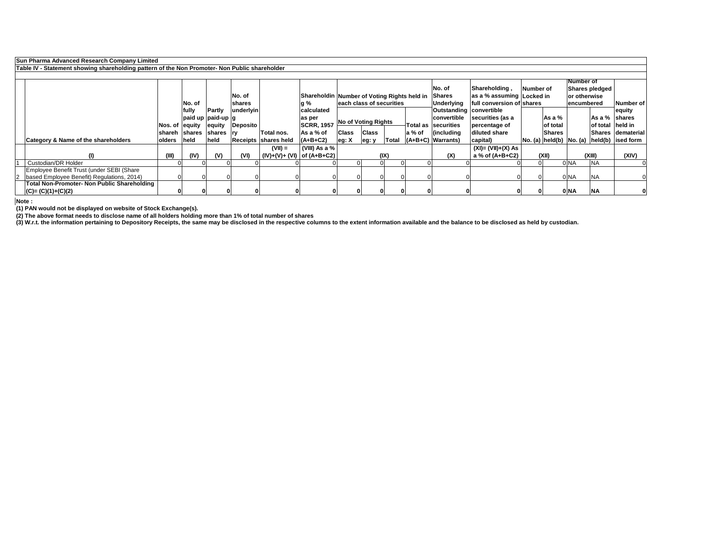|             | Sun Pharma Advanced Research Company Limited                                                  |                 |                               |               |           |                              |                                                    |              |                            |              |        |                                |                                           |           |               |                  |                       |                                                    |
|-------------|-----------------------------------------------------------------------------------------------|-----------------|-------------------------------|---------------|-----------|------------------------------|----------------------------------------------------|--------------|----------------------------|--------------|--------|--------------------------------|-------------------------------------------|-----------|---------------|------------------|-----------------------|----------------------------------------------------|
|             | Table IV - Statement showing shareholding pattern of the Non Promoter- Non Public shareholder |                 |                               |               |           |                              |                                                    |              |                            |              |        |                                |                                           |           |               |                  |                       |                                                    |
|             |                                                                                               |                 |                               |               |           |                              |                                                    |              |                            |              |        | No. of                         | Shareholding,                             | Number of |               | <b>Number of</b> | <b>Shares pledged</b> |                                                    |
|             |                                                                                               |                 |                               |               | No. of    |                              | <b>Shareholdin Number of Voting Rights held in</b> |              |                            |              |        | <b>Shares</b>                  | $\vert$ as a % assuming $\vert$ Locked in |           |               | or otherwise     |                       |                                                    |
|             |                                                                                               |                 | No. of                        |               | shares    |                              | lg %                                               |              | leach class of securities  |              |        | Underlying                     | full conversion of shares                 |           |               | encumbered       |                       | Number of                                          |
|             |                                                                                               |                 | fully                         | <b>Partly</b> | underlyin |                              | calculated                                         |              |                            |              |        | <b>Outstanding convertible</b> |                                           |           |               |                  |                       | <b>equity</b>                                      |
|             |                                                                                               |                 | $ $ paid up $ $ paid-up $ $ g |               |           |                              | as per                                             |              | <b>No of Voting Rights</b> |              |        | convertible                    | securities (as a                          |           | As a $%$      |                  | As a % shares         |                                                    |
|             |                                                                                               | Nos. of  equity |                               | equity        | Deposito  |                              | <b>SCRR, 1957</b>                                  |              |                            |              |        | Total as securities            | percentage of                             |           | of total      |                  | of total   held in    |                                                    |
|             |                                                                                               |                 | shareh shares                 | shares  ry    |           | Total nos.                   | As a % of                                          | <b>Class</b> | <b>Class</b>               |              | a % of | $\int$ (including              | diluted share                             |           | <b>Shares</b> |                  |                       | <b>Shares dematerial</b>                           |
|             | <b>Category &amp; Name of the shareholders</b>                                                | <b>olders</b>   | held                          | held          |           | <b>Receipts Shares held</b>  | $(A+B+C2)$                                         | leg: X       | eg: y                      | <b>Total</b> |        | $ $ (A+B+C)   Warrants)        | capital)                                  |           |               |                  |                       | $ No. (a)   held(b)  No. (a)   held(b)  ised form$ |
|             |                                                                                               |                 |                               |               |           | $(VII) =$                    | $ $ (VIII) As a % $ $                              |              |                            |              |        |                                | $(XI) = (VII)+(X) As$                     |           |               |                  |                       |                                                    |
|             |                                                                                               | (III)           | (IV)                          | (V)           | (VI)      | (IV)+(V)+ (VI)   of (A+B+C2) |                                                    |              |                            | (IX)         |        | (X)                            | a % of (A+B+C2)                           |           | (XII)         |                  | (XIII)                | (XIV)                                              |
|             | <b>Custodian/DR Holder</b>                                                                    |                 |                               |               |           |                              |                                                    |              |                            |              |        |                                |                                           |           |               | 0 <sub>NA</sub>  | <b>INA</b>            |                                                    |
|             | Employee Benefit Trust (under SEBI (Share                                                     |                 |                               |               |           |                              |                                                    |              |                            |              |        |                                |                                           |           |               |                  |                       |                                                    |
| $ 2\rangle$ | based Employee Benefit) Regulations, 2014)                                                    |                 |                               |               |           |                              |                                                    |              |                            |              |        |                                |                                           |           |               | $0$ NA           | <b>NA</b>             |                                                    |
|             | Total Non-Promoter- Non Public Shareholding                                                   |                 |                               |               |           |                              |                                                    |              |                            |              |        |                                |                                           |           |               |                  |                       |                                                    |
|             | $(C)=(C)(1)+(C)(2)$                                                                           |                 |                               |               |           |                              |                                                    |              |                            |              |        |                                |                                           |           |               | 0 NA             | <b>NA</b>             |                                                    |

**(3) W.r.t. the information pertaining to Depository Receipts, the same may be disclosed in the respective columns to the extent information available and the balance to be disclosed as held by custodian.**

**Note :**

**(2) The above format needs to disclose name of all holders holding more than 1% of total number of shares**

**(1) PAN would not be displayed on website of Stock Exchange(s).**